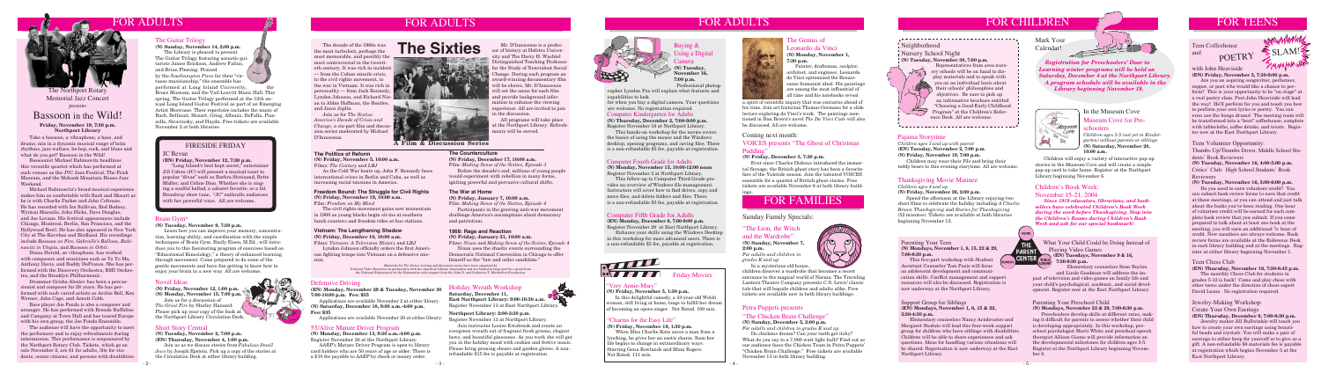# FOR CHILDREN

#### Short Story Central

**(N) Tuesday, November 2, 7:00 p.m. (EN) Thursday, November 4, 1:00 p.m.**

Join us as we discuss stories from *Fabulous Small Jews* by Joseph Epstein. Pick up a copy of the stories at the Circulation Desk at either library building.



#### Defensive Driving

**(EN) Monday, November 29 & Tuesday, November 30 7:00-10:00 p.m. Fee: \$35**

Applications are available November 2 at either library. **(N) Saturday, December 18, 9:00 a.m.-4:00 p.m. Fee: \$35**

Applications are available November 20 at either library.

#### 55/Alive Mature Driver Program

"Long Island's best kept secret," entertaine Jill Cohen (JC) will present a musical toast to popular "divas" such as Barbra Streisand, Bette Midler, and Celine Dion. Whether she is singing a soulful ballad, a cabaret favorite, or a hit Broadway show tune, "JC" enthralls audiences with her powerful voice. All are welcome.

#### **(N) Monday, December 13, 9:30 a.m.-4:00 p.m.** Register November 20 at the Northport Library.

 AARP's Mature Driver Program is open to library card holders who are 50 years of age or older. There is a \$10 fee payable to AARP by check or money order.

#### JC Revue

### **(EN) Friday, November 12, 7:30 p.m.**

#### FIRESIDE FRIDAY

#### Support Group for Siblings **(EN) Mondays, November 1, 8, 15 & 22, 3:30-4:30 p.m.**

 Elementary counselors Nancy Armbruster and Margaret Stoduto will lead this four-week support group for children who have siblings with disabilities. Children will be able to share experiences and ask questions. Ideas for handling various situations will be shared. Registration is now underway at the East Northport Library.

#### What Your Child Could be Doing Instead of Playing Video Games **(EN) Tuesdays, November 9 & 16,**

**7:30-8:30 p.m.** Elementary counselors Sean Boylan and Linda Goodman will address the impact of television and video games on family life and your child's psychological, academic, and social devel-

opment. Register now at the East Northport Library.

#### The Genius of Leonardo da Vinci **(N) Monday, November 1,**

**7:30 p.m.**

Painter, draftsman, sculptor, architect, and engineer, Leonardo da Vinci epitomized the Renaissance humanist ideal. His paintings are among the most influential of all time and his notebooks reveal

#### "The Lion, the Witch

and the Wardrobe" **(N) Sunday, November 7,** 

**2:00 p.m.** *For adults and children in grades K and up* In a mysterious old house,



children discover a wardrobe that becomes a secret entrance to the magical world of Narnia. The Traveling Lantern Theatre Company presents C.S. Lewis' classic tale that will beguile children and adults alike. Free tickets are available now in both library buildings.

# Teen Coffeehouse and

#### Teen Volunteer Opportunity:

Thumbs Up/Thumbs Down: Middle School Students' Book Reviewers

**(N) Tuesday, November 16, 4:00-5:00 p.m.** Critics' Club: High School Students' Book

#### Reviewers

#### **(N) Tuesday, November 16, 5:00-6:00 p.m.**

 Do you need to earn volunteer credit? You can submit book review forms to earn that credit at these meetings, or you can attend and just talk about the books you've been reading. One hour of volunteer credit will be earned for each complete book review that you submit. If you come prepared to talk about at least one book at the meeting, you will earn an additional <sup>1</sup>/2 hour of credit. New members are always welcome. Book review forms are available at the Reference Desk in each library building and at the meetings. Register at either library beginning November 1.

in 1960 as young blacks begin sit-ins at southern challenge America's assumptions about democracy Computer Fifth Grade for Adults (52 minutes). Tickets are available at both libraries Brain Gym<sup>®</sup> lunch counters and freedo The civil rights movement gains new momentum in 1960 as young blacks begin sit-ins at southern lunch counters and freedom rides at bus stations.

schoolers

*Children ages 3-5 (not yet in Kindergarten) without parents or siblings* **(N) Saturday, November 20, 10:00 a.m.**

#### Museum Cove for Pre-In the Museum Cove

# FOR FAMILIES

#### Sunday Family Specials:

 Children will enjoy a variety of interactive pop-up stories in the Museum Cove and will create a simple pop-up card to take home. Register at the Northport

# Library beginning November 6. Thanksgiving Movie Matinee

*Children ages 4 and up*

#### **(N) Friday, November 26, 2:00 p.m.**

 Spend the afternoon at the Library enjoying two short films to celebrate the holiday including *A Charlie Brown Thanksgiving* and *Stories for Thanksgiving*

#### **(N) Tuesday, November 9, 7:30 p.m.**

 Learn how you can improve your memory, concentration, learning ability, and coordination with the simple techniques of Brain Gym. Emily Eisen, M.Ed., will introduce you to this fascinating program of exercises based on "Educational Kinesiology," a theory of enhanced learning through movement. Come prepared to do some of the gentle movements and have fun getting to know how to enjoy your brain in a new way. All are welcome.

#### Parenting Your Teen **(N) Mondays, November 1, 8, 15, 22 & 29, 7:00-8:30 p.m.**

 This five-part workshop with Student Assistant Counselor Tom Fazio will focus on adolescent development and communication skills. Conflict management and support resources will also be discussed. Registration is now underway at the Northport Library.

# The decade of the 1960s was

the most turbulent, perhaps the most memorable, and possibly the most controversial in the twentieth century. It was rich in incident — from the Cuban missile crisis, to the civil rights movement, to the war in Vietnam. It was rich in personality — from Jack Kennedy, Lyndon Johnson, and Richard Nixon to Abbie Hoffman, the Beatles, and Janis Joplin.

 Join us for *The Sixties: America's Decade of Crisis and Change*, a six-part film and discussion series moderated by Michael D'Innocenzo.



#### **The Politics of Reform**

**(N) Friday, November 5, 10:00 a.m.** Films: *The Century* and *LBJ*

 As the Cold War heats up, John F. Kennedy faces international crises in Berlin and Cuba, as well as increasing racial tensions in America.

#### **1968: Rage and Reaction**

#### **(N) Friday, January 21, 10:00 a.m.**

Films: *Nixon* and *Making Sense of the Sixties, Episode 4*  Nixon uses the chaotic events surrounding the Democratic National Convention in Chicago to offer himself as the "law and order candidate."

#### **The War at Home**

#### **(N) Friday, January 7, 10:00 a.m.**

Film: *Making Sense of the Sixties, Episode 4*

 Participants in the growing anti-war movement challenge America's assumptions about democracy and patriotism.

#### **The Counterculture**

**(N) Friday, December 17, 10:00 a.m.**

Film: *Making Sense of the Sixties, Episode 3* Before the decade's end, millions of young people would experiment with rebellion in many forms, igniting powerful and pervasive cultural shifts.

#### **Freedom Bound: The Struggle for Civil Rights (N) Friday, November 19, 10:00 a.m.**

Film: *Freedom on My Mind*

#### **Vietnam: The Lengthening Shadow (N) Friday, December 10, 10:00 a.m.**

#### Films: *Vietnam: A Television History* and *LBJ*

 Lyndon Johnson officially orders the first American fighting troops into Vietnam on a defensive mission.

National Video Resources in partnership with the American Library Association and are funded in large part by a grant from<br>the National Endowment for the Humanities with support from the John D. and Catherine T. MacArthur

Materials for *The Sixties* viewing and discussion series have been organized by

#### **A Film & Discussion Series**

#### Jewelry-Making Workshop:

#### Create Your Own Earrings

**(EN) Thursday, December 9, 7:00-8:30 p.m.**

 Jewelry maker Jill Bullwinkle will teach you how to create your own earrings using beautiful beads and crystals. You will make a pair of earrings to either keep for yourself or to give as a gift. A non-refundable \$8 materials fee is payable at registration which begins November 5 at the East Northport Library.

 Mr. D'Innocenzo is a professor of history at Hofstra University and The Harry H. Wachtel Distinguished Teaching Professor for the Study of Nonviolent Social Change. During each program an award-winning documentary film will be shown. Mr. D'Innocenzo will set the scene for each film and provide background information to enhance the viewing experience. All are invited to join in the discussion.

#### VOICES presents "The Ghost of Christmas Pudding'

 All programs will take place at the Northport Library. Refreshments will be served.





#### Computer Kindergarten for Adults

**(N) Thursday, December 2, 7:00-9:00 p.m.** Register November 18 at Northport Library.

 This hands-on workshop for the novice covers the basics of using the mouse and the Windows desktop, opening programs, and saving files. There is a non-refundable \$5 fee, payable at registration.

#### Computer Fourth Grade for Adults

**(N) Monday, November 15, 10:00-12:00 noon** Register November 3 at Northport Library.

This follow-up to Computer Third Grade provides an overview of Windows file management. Instructors will cover how to find drives, copy and move files, and delete folders and files. There is a non-refundable \$5 fee, payable at registration.

#### Computer Fifth Grade for Adults

**(EN) Monday, December 6, 7:00-9:00 p.m.** Register November 20 at East Northport Library.

 Enhance your skills using the Windows Desktop in this workshop for more advanced users. There is a non-refundable \$5 fee, payable at registration.



**Friday Movies** 

Buying & Using a Digital Camera **(N) Tuesday,** 

**November 16, 7:00 p.m.** Professional photog-

rapher Lyndon Fox will explain what features and capabilities to look

for when you buy a digital camera. Your questions are welcome. No registration required.

 Take a bassoon, a vibraphone, a bass, and drums, mix in a dynamic musical range of latin rhythms, jazz waltzes, be-bop, rock, and blues and what do you get? Bassoon in the Wild!

 Bassoonist Michael Rabinowitz headlines this versatile quartet which has performed at such venues as the JVC Jazz Festival, The Frick Museum, and the Mohonk Mountain House Jazz Weekend.

 Michael Rabinowitz's broad musical experience makes him as comfortable with Bach and Mozart as he is with Charlie Parker and John Coltrane. He has recorded with Ira Sullivan, Red Rodney, Wynton Marsalis, John Hicks, Dave Douglas, and Joe Lovano. His festival appearances include Chicago, Montreal, Berlin, San Francisco, and the Hollywood Bowl. He has also appeared in New York City at The Kavehaz and Birdland. His recordings include *Bassoon on Fire*, *Gabrielle's Balloon*, *Rabinowitz in Utopia*, and *Bassoon in Orbit*.

 Diana Herold, on vibraphone, has worked with composers and musicians such as Yo Yo Ma, Anthony Davis, and Buddy DeFranco. She has performed with the Discovery Orchestra, BMI Orchestra, and the Brooklyn Philharmonic.

 Drummer Grisha Alexiev has been a percussionist and composer for 28 years. He has performed with such varied artists as Archie Bell, Ken Werner, John Cage, and Arnett Cobb.

 Bass player Joe Fonda is also a composer and arranger. He has performed with Brenda Buffalino and Company at Town Hall and has toured Europe with his own group, the Joe Fonda Ensemble.

 The audience will have the opportunity to meet the performers and to enjoy refreshments during intermission. This performance is cosponsored by the Northport Rotary Club. Tickets, which go on sale November 2, are \$1 for adults, 50¢ for students, senior citizens, and persons with disabilities.

# FOR ADULTS ASSESSED. THE RESERVE ASSESSED. THE RESERVE AND FOR ADULTS



The Northport Rotary Memorial Jazz Concert presents

# Bassoon in the Wild!

#### Petra Puppets presents

#### "The Chicken Brain Challenge"

**(N) Sunday, December 5, 2:00 p.m.** *For adults and children in grades K and up*

 Do chickens dream? Can your teeth get itchy? What do you say to a 7,000 watt light bulb? Find out as our audience faces the Chicken Team in Petra Puppets' "Chicken Brain Challenge." Free tickets are available November 13 in both library building.



#### The Guitar Trilogy

**(N) Sunday, November 14, 2:00 p.m.**

 The Library is pleased to present The Guitar Trilogy featuring acoustic guitarists James Erickson, Andrew Falino, and Brian Fleming. Praised by the *Southampton Press* for their "virtuoso musicianship," the ensemble has performed at Long Island University, the Bruce Museum, and the Vail-Leavitt Music Hall. This spring, The Guitar Trilogy performed at the 12th annual Long Island Guitar Festival as part of an Emerging

Artist Showcase. Their repertoire includes the music of Bach, Bellinati, Mozart, Grieg, Albeniz, DeFalla, Piazzolla, Stravinsky, and Haydn. Free tickets are available November 2 at both libraries.

# FOR TEENS

#### Pajama Storytime

*Children ages 3 and up with parent* **(EN) Tuesday, November 2, 7:00 p.m.**

**(N) Friday, November 19, 7:00 p.m.** Children may wear their PJs and bring their teddy bears to this evening storytime. All are welcome.

#### Neighborhood Nursery School Night **(N) Tuesday, November 30, 7:00 p.m.**

 Representatives from area nursery schools will be on hand to display materials and to speak with you on an individual basis about their schools' philosophies and objectives. Be sure to pick up an informative brochure entitled "Choosing a Good Early Childhood Program" at the Children's Reference Desk. All are welcome.

,................................

#### Mark Your Calendar!



 *Registration for Preschoolers' Door to Learning winter programs will be held on Saturday, December 4 at the Northport Library. A program schedule will be available in the Library beginning November 19.*



POETRY

#### with John Heaviside **(EN) Friday, November 5, 7:30-9:00 p.m.**

 Are you an aspiring songwriter, performer, rapper, or poet who would like a chance to perform? This is your opportunity to be "on stage" at a real poetry slam. Poet John Heaviside will lead the way! He'll perform for you and teach you how to perform your own lyrics or poetry. You can even use the bongo drums! The meeting room will be transformed into a "beat" coffeehouse, complete with tablecloths, coffee drinks, and treats. Register now at the East Northport Library.

# Parenting Your Preschool Child

**(N) Mondays, November 22 & 29, 7:00-8:30 p.m.** Preschoolers develop skills at different rates, making it difficult for parents to assess whether their child is developing appropriately. In this workshop, preschool psychologist Marti White and preschool speech therapist Allison Giamo will provide information on the developmental milestones for children ages 3-5.

Register at the Northport Library beginning Novem-

ber 8.





#### Holiday Wreath Workshop

**Saturday, December 11, East Northport Library: 9:00-10:30 a.m.**  Register November 13 at East Northport Library.

**Northport Library: 2:00-3:30 p.m.**

Register November 13 at Northport Library. Join instructor Louise Estabrook and create an evergreen wreath out of fragrant fresh greens, elegant bows, and beautiful pinecones. As you work she will get you in the holiday mood with cookies and festive music. Please bring pruning shears and garden gloves. A nonrefundable \$15 fee is payable at registration.



#### "Charms for the Easy Life"

**(N) Friday, November 19, 1:30 p.m.**

When Miss Charlie Kate saves a man from a lynching, he gives her an exotic charm. Soon her life begins to change in extraordinary ways. Starring Gena Rowlands and Mimi Rogers. Not Rated. 111 min.



#### "Very Annie-Mary"

**(N) Friday, November 5, 1:30 p.m.** In this delightful comedy, a 33-year-old Welsh

woman, still living at home, longs to fulfill her dream of becoming an opera singer. Not Rated. 100 min.

# FOR ADULTS

#### Novel Ideas

**(N) Friday, November 12, 1:00 p.m. (N) Monday, November 15, 7:00 p.m.**

 Join us for a discussion of *The Great Fire* by Shirley Hazzard. Please pick up your copy of the book at the Northport Library Circulation Desk.

#### Teen Chess Club

#### **(EN) Thursday, November 18, 7:30-8:45 p.m.**

 The monthly Chess Club for students in grades 5-12 is back! Come and play chess with other teens under the direction of chess expert David Leone. No registration required.



#### **Friday, November 19, 7:30 p.m. Northport Library**

a spirit of scientific inquiry that was centuries ahead of his time. Join art historian Thomas Germano for a slide lecture exploring da Vinci's work. The paintings mentioned in Dan Brown's novel *The Da Vinci Code* will also be discussed. All are welcome.

Coming next month:

#### **(N) Friday, December 3, 7:30 p.m.**

 Ever since Charles Dickens introduced the immortal Scrooge, the British ghost story has been a favorite fare of the Yuletide season. Join the talented VOICES ensemble for a quartet of British ghost stories. Free tickets are available November 6 at both library buildings.

#### Children's Book Week:

#### November 15-21, 2004

*Since 1919 educators, librarians, and booksellers have celebrated Children's Book Week during the week before Thanksgiving. Stop into the Children's Rooms during Children's Book Week and ask for our special bookmark!*